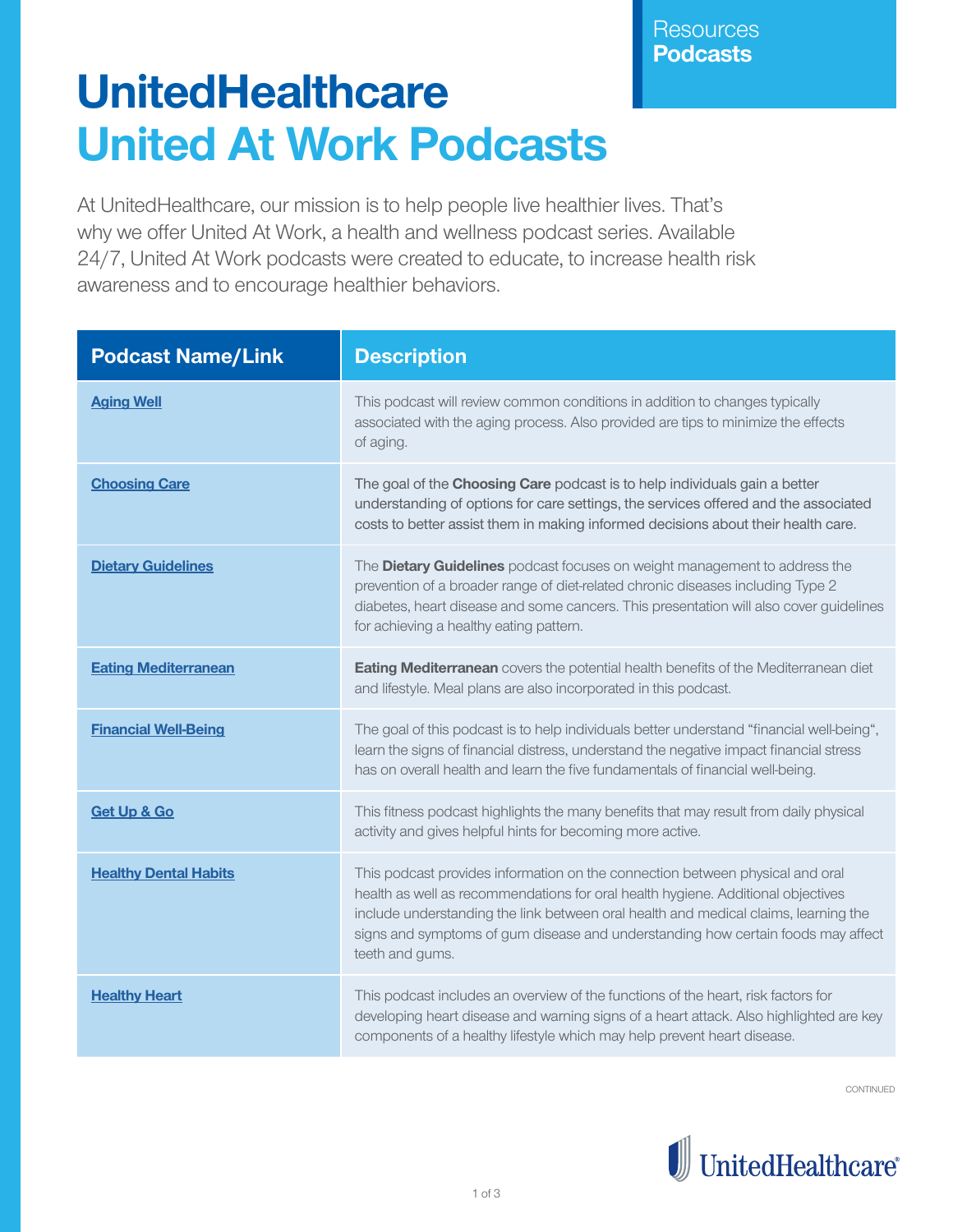## **UnitedHealthcare United At Work Podcasts**

At UnitedHealthcare, our mission is to help people live healthier lives. That's why we offer United At Work, a health and wellness podcast series. Available 24/7, United At Work podcasts were created to educate, to increase health risk awareness and to encourage healthier behaviors.

| <b>Podcast Name/Link</b>     | <b>Description</b>                                                                                                                                                                                                                                                                                                                                              |
|------------------------------|-----------------------------------------------------------------------------------------------------------------------------------------------------------------------------------------------------------------------------------------------------------------------------------------------------------------------------------------------------------------|
| <b>Aging Well</b>            | This podcast will review common conditions in addition to changes typically<br>associated with the aging process. Also provided are tips to minimize the effects<br>of aging.                                                                                                                                                                                   |
| <b>Choosing Care</b>         | The goal of the Choosing Care podcast is to help individuals gain a better<br>understanding of options for care settings, the services offered and the associated<br>costs to better assist them in making informed decisions about their health care.                                                                                                          |
| <b>Dietary Guidelines</b>    | The Dietary Guidelines podcast focuses on weight management to address the<br>prevention of a broader range of diet-related chronic diseases including Type 2<br>diabetes, heart disease and some cancers. This presentation will also cover guidelines<br>for achieving a healthy eating pattern.                                                              |
| <b>Eating Mediterranean</b>  | <b>Eating Mediterranean</b> covers the potential health benefits of the Mediterranean diet<br>and lifestyle. Meal plans are also incorporated in this podcast.                                                                                                                                                                                                  |
| <b>Financial Well-Being</b>  | The goal of this podcast is to help individuals better understand "financial well-being",<br>learn the signs of financial distress, understand the negative impact financial stress<br>has on overall health and learn the five fundamentals of financial well-being.                                                                                           |
| Get Up & Go                  | This fitness podcast highlights the many benefits that may result from daily physical<br>activity and gives helpful hints for becoming more active.                                                                                                                                                                                                             |
| <b>Healthy Dental Habits</b> | This podcast provides information on the connection between physical and oral<br>health as well as recommendations for oral health hygiene. Additional objectives<br>include understanding the link between oral health and medical claims, learning the<br>signs and symptoms of gum disease and understanding how certain foods may affect<br>teeth and gums. |
| <b>Healthy Heart</b>         | This podcast includes an overview of the functions of the heart, risk factors for<br>developing heart disease and warning signs of a heart attack. Also highlighted are key<br>components of a healthy lifestyle which may help prevent heart disease.                                                                                                          |

CONTINUED

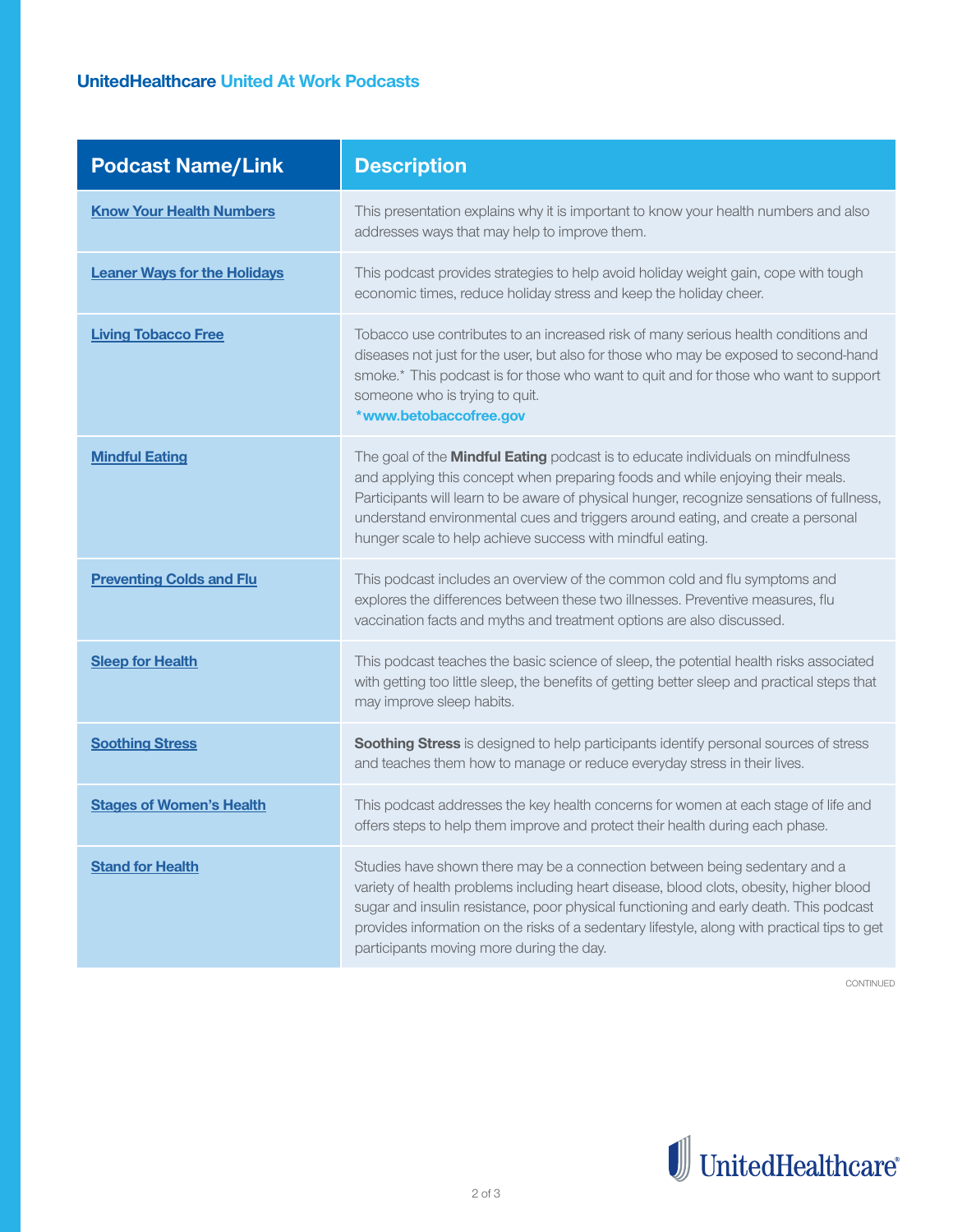## **UnitedHealthcare United At Work Podcasts**

| <b>Podcast Name/Link</b>            | <b>Description</b>                                                                                                                                                                                                                                                                                                                                                                                             |
|-------------------------------------|----------------------------------------------------------------------------------------------------------------------------------------------------------------------------------------------------------------------------------------------------------------------------------------------------------------------------------------------------------------------------------------------------------------|
| <b>Know Your Health Numbers</b>     | This presentation explains why it is important to know your health numbers and also<br>addresses ways that may help to improve them.                                                                                                                                                                                                                                                                           |
| <b>Leaner Ways for the Holidays</b> | This podcast provides strategies to help avoid holiday weight gain, cope with tough<br>economic times, reduce holiday stress and keep the holiday cheer.                                                                                                                                                                                                                                                       |
| <b>Living Tobacco Free</b>          | Tobacco use contributes to an increased risk of many serious health conditions and<br>diseases not just for the user, but also for those who may be exposed to second-hand<br>smoke.* This podcast is for those who want to quit and for those who want to support<br>someone who is trying to quit.<br>*www.betobaccofree.gov                                                                                 |
| <b>Mindful Eating</b>               | The goal of the Mindful Eating podcast is to educate individuals on mindfulness<br>and applying this concept when preparing foods and while enjoying their meals.<br>Participants will learn to be aware of physical hunger, recognize sensations of fullness,<br>understand environmental cues and triggers around eating, and create a personal<br>hunger scale to help achieve success with mindful eating. |
| <b>Preventing Colds and Flu</b>     | This podcast includes an overview of the common cold and flu symptoms and<br>explores the differences between these two illnesses. Preventive measures, flu<br>vaccination facts and myths and treatment options are also discussed.                                                                                                                                                                           |
| <b>Sleep for Health</b>             | This podcast teaches the basic science of sleep, the potential health risks associated<br>with getting too little sleep, the benefits of getting better sleep and practical steps that<br>may improve sleep habits.                                                                                                                                                                                            |
| <b>Soothing Stress</b>              | Soothing Stress is designed to help participants identify personal sources of stress<br>and teaches them how to manage or reduce everyday stress in their lives.                                                                                                                                                                                                                                               |
| <b>Stages of Women's Health</b>     | This podcast addresses the key health concerns for women at each stage of life and<br>offers steps to help them improve and protect their health during each phase.                                                                                                                                                                                                                                            |
| <b>Stand for Health</b>             | Studies have shown there may be a connection between being sedentary and a<br>variety of health problems including heart disease, blood clots, obesity, higher blood<br>sugar and insulin resistance, poor physical functioning and early death. This podcast<br>provides information on the risks of a sedentary lifestyle, along with practical tips to get<br>participants moving more during the day.      |

CONTINUED